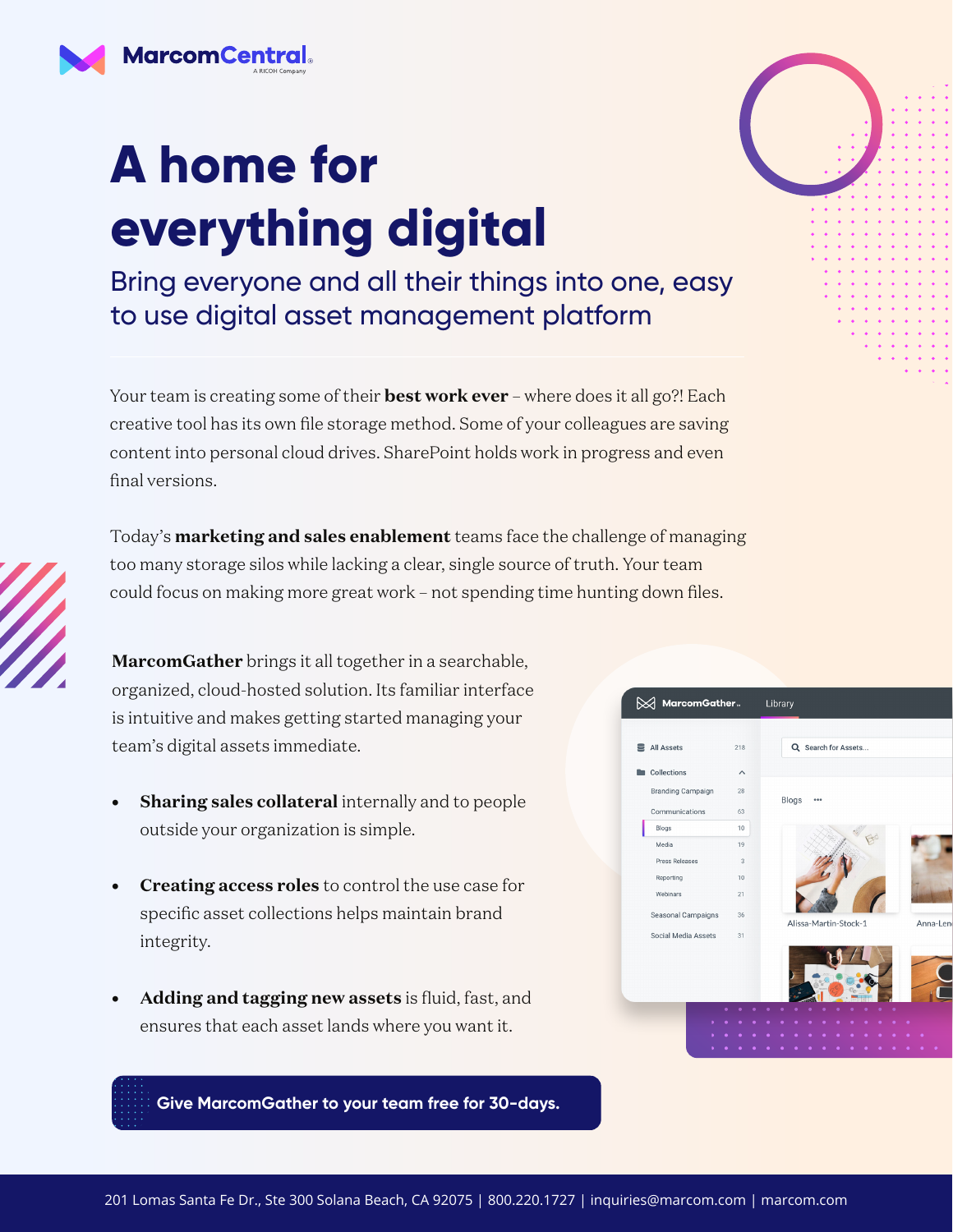

## **A home for everything digital**

Bring everyone and all their things into one, easy to use digital asset management platform

Your team is creating some of their **best work ever** – where does it all go?! Each creative tool has its own file storage method. Some of your colleagues are saving content into personal cloud drives. SharePoint holds work in progress and even final versions.

Today's **marketing and sales enablement** teams face the challenge of managing too many storage silos while lacking a clear, single source of truth. Your team could focus on making more great work – not spending time hunting down files.

**MarcomGather** brings it all together in a searchable, organized, cloud-hosted solution. Its familiar interface is intuitive and makes getting started managing your team's digital assets immediate.

- **• Sharing sales collateral** internally and to people outside your organization is simple.
- **• Creating access roles** to control the use case for specific asset collections helps maintain brand integrity.
- **• Adding and tagging new assets** is fluid, fast, and ensures that each asset lands where you want it.



**[Give MarcomGather to your team free for 30-days.](https://marcom.com/marcomgather-free-trial/)**